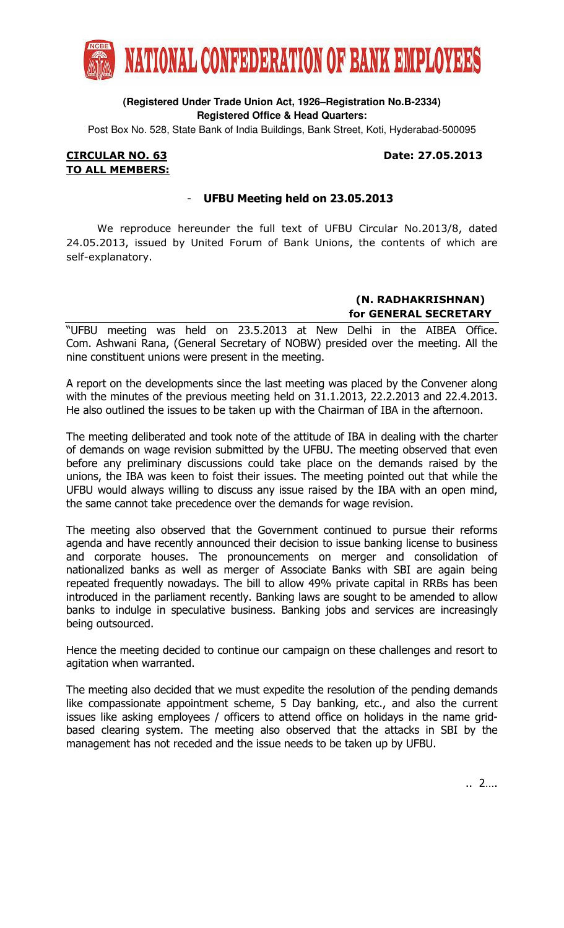

### **(Registered Under Trade Union Act, 1926–Registration No.B-2334) Registered Office & Head Quarters:**

Post Box No. 528, State Bank of India Buildings, Bank Street, Koti, Hyderabad-500095

#### CIRCULAR NO. 63 Date: 27.05.2013 TO ALL MEMBERS:

# UFBU Meeting held on 23.05.2013

 We reproduce hereunder the full text of UFBU Circular No.2013/8, dated 24.05.2013, issued by United Forum of Bank Unions, the contents of which are self-explanatory.

# (N. RADHAKRISHNAN) for GENERAL SECRETARY

"UFBU meeting was held on 23.5.2013 at New Delhi in the AIBEA Office. Com. Ashwani Rana, (General Secretary of NOBW) presided over the meeting. All the nine constituent unions were present in the meeting.

A report on the developments since the last meeting was placed by the Convener along with the minutes of the previous meeting held on 31.1.2013, 22.2.2013 and 22.4.2013. He also outlined the issues to be taken up with the Chairman of IBA in the afternoon.

The meeting deliberated and took note of the attitude of IBA in dealing with the charter of demands on wage revision submitted by the UFBU. The meeting observed that even before any preliminary discussions could take place on the demands raised by the unions, the IBA was keen to foist their issues. The meeting pointed out that while the UFBU would always willing to discuss any issue raised by the IBA with an open mind, the same cannot take precedence over the demands for wage revision.

The meeting also observed that the Government continued to pursue their reforms agenda and have recently announced their decision to issue banking license to business and corporate houses. The pronouncements on merger and consolidation of nationalized banks as well as merger of Associate Banks with SBI are again being repeated frequently nowadays. The bill to allow 49% private capital in RRBs has been introduced in the parliament recently. Banking laws are sought to be amended to allow banks to indulge in speculative business. Banking jobs and services are increasingly being outsourced.

Hence the meeting decided to continue our campaign on these challenges and resort to agitation when warranted.

The meeting also decided that we must expedite the resolution of the pending demands like compassionate appointment scheme, 5 Day banking, etc., and also the current issues like asking employees / officers to attend office on holidays in the name gridbased clearing system. The meeting also observed that the attacks in SBI by the management has not receded and the issue needs to be taken up by UFBU.